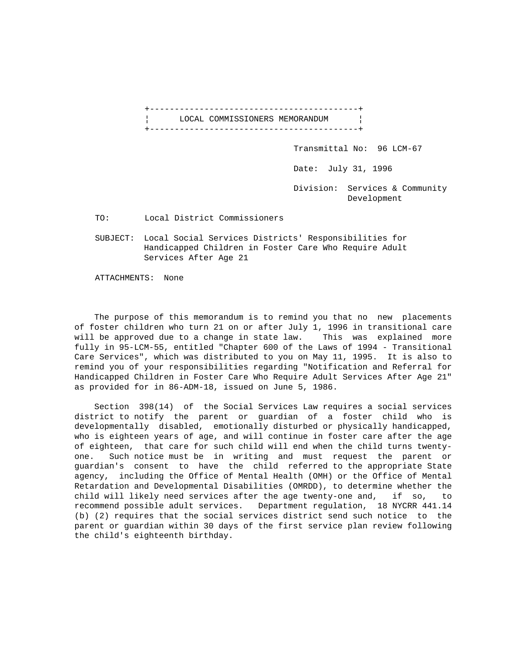+------------------------------------------+ LOCAL COMMISSIONERS MEMORANDUM | +------------------------------------------+

Transmittal No: 96 LCM-67

Date: July 31, 1996

 Division: Services & Community Development

TO: Local District Commissioners

 SUBJECT: Local Social Services Districts' Responsibilities for Handicapped Children in Foster Care Who Require Adult Services After Age 21

ATTACHMENTS: None

 The purpose of this memorandum is to remind you that no new placements of foster children who turn 21 on or after July 1, 1996 in transitional care will be approved due to a change in state law. This was explained more fully in 95-LCM-55, entitled "Chapter 600 of the Laws of 1994 - Transitional Care Services", which was distributed to you on May 11, 1995. It is also to remind you of your responsibilities regarding "Notification and Referral for Handicapped Children in Foster Care Who Require Adult Services After Age 21" as provided for in 86-ADM-18, issued on June 5, 1986.

 Section 398(14) of the Social Services Law requires a social services district to notify the parent or guardian of a foster child who is developmentally disabled, emotionally disturbed or physically handicapped, who is eighteen years of age, and will continue in foster care after the age of eighteen, that care for such child will end when the child turns twentyone. Such notice must be in writing and must request the parent or guardian's consent to have the child referred to the appropriate State agency, including the Office of Mental Health (OMH) or the Office of Mental Retardation and Developmental Disabilities (OMRDD), to determine whether the child will likely need services after the age twenty-one and, if so, to recommend possible adult services. Department regulation, 18 NYCRR 441.14 (b) (2) requires that the social services district send such notice to the parent or guardian within 30 days of the first service plan review following the child's eighteenth birthday.